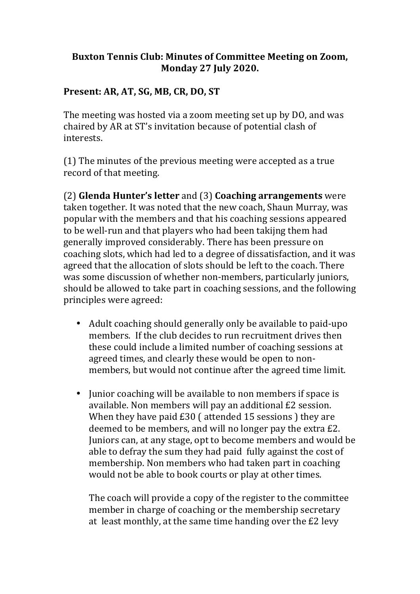## Buxton Tennis Club: Minutes of Committee Meeting on Zoom, **Monday 27 July 2020.**

## Present: AR, AT, SG, MB, CR, DO, ST

The meeting was hosted via a zoom meeting set up by DO, and was chaired by AR at ST's invitation because of potential clash of interests. 

 $(1)$  The minutes of the previous meeting were accepted as a true record of that meeting.

(2) **Glenda Hunter's letter** and (3) **Coaching arrangements** were taken together. It was noted that the new coach, Shaun Murray, was popular with the members and that his coaching sessions appeared to be well-run and that players who had been takijng them had generally improved considerably. There has been pressure on coaching slots, which had led to a degree of dissatisfaction, and it was agreed that the allocation of slots should be left to the coach. There was some discussion of whether non-members, particularly juniors, should be allowed to take part in coaching sessions, and the following principles were agreed:

- Adult coaching should generally only be available to paid-upo members. If the club decides to run recruitment drives then these could include a limited number of coaching sessions at agreed times, and clearly these would be open to nonmembers, but would not continue after the agreed time limit.
- Junior coaching will be available to non members if space is available. Non members will pay an additional £2 session. When they have paid  $£30$  ( attended 15 sessions ) they are deemed to be members, and will no longer pay the extra  $E2$ . Juniors can, at any stage, opt to become members and would be able to defray the sum they had paid fully against the cost of membership. Non members who had taken part in coaching would not be able to book courts or play at other times.

The coach will provide a copy of the register to the committee member in charge of coaching or the membership secretary at least monthly, at the same time handing over the  $E2$  levy